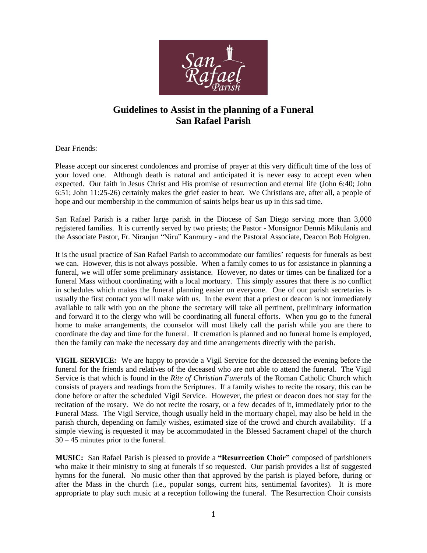

# **Guidelines to Assist in the planning of a Funeral San Rafael Parish**

Dear Friends:

Please accept our sincerest condolences and promise of prayer at this very difficult time of the loss of your loved one. Although death is natural and anticipated it is never easy to accept even when expected. Our faith in Jesus Christ and His promise of resurrection and eternal life (John 6:40; John 6:51; John 11:25-26) certainly makes the grief easier to bear. We Christians are, after all, a people of hope and our membership in the communion of saints helps bear us up in this sad time.

San Rafael Parish is a rather large parish in the Diocese of San Diego serving more than 3,000 registered families. It is currently served by two priests; the Pastor - Monsignor Dennis Mikulanis and the Associate Pastor, Fr. Niranjan "Niru" Kanmury - and the Pastoral Associate, Deacon Bob Holgren.

It is the usual practice of San Rafael Parish to accommodate our families' requests for funerals as best we can. However, this is not always possible. When a family comes to us for assistance in planning a funeral, we will offer some preliminary assistance. However, no dates or times can be finalized for a funeral Mass without coordinating with a local mortuary. This simply assures that there is no conflict in schedules which makes the funeral planning easier on everyone. One of our parish secretaries is usually the first contact you will make with us. In the event that a priest or deacon is not immediately available to talk with you on the phone the secretary will take all pertinent, preliminary information and forward it to the clergy who will be coordinating all funeral efforts. When you go to the funeral home to make arrangements, the counselor will most likely call the parish while you are there to coordinate the day and time for the funeral. If cremation is planned and no funeral home is employed, then the family can make the necessary day and time arrangements directly with the parish.

**VIGIL SERVICE:** We are happy to provide a Vigil Service for the deceased the evening before the funeral for the friends and relatives of the deceased who are not able to attend the funeral. The Vigil Service is that which is found in the *Rite of Christian Funerals* of the Roman Catholic Church which consists of prayers and readings from the Scriptures. If a family wishes to recite the rosary, this can be done before or after the scheduled Vigil Service. However, the priest or deacon does not stay for the recitation of the rosary. We do not recite the rosary, or a few decades of it, immediately prior to the Funeral Mass. The Vigil Service, though usually held in the mortuary chapel, may also be held in the parish church, depending on family wishes, estimated size of the crowd and church availability. If a simple viewing is requested it may be accommodated in the Blessed Sacrament chapel of the church 30 – 45 minutes prior to the funeral.

**MUSIC:** San Rafael Parish is pleased to provide a **"Resurrection Choir"** composed of parishioners who make it their ministry to sing at funerals if so requested. Our parish provides a list of suggested hymns for the funeral. No music other than that approved by the parish is played before, during or after the Mass in the church (i.e., popular songs, current hits, sentimental favorites). It is more appropriate to play such music at a reception following the funeral. The Resurrection Choir consists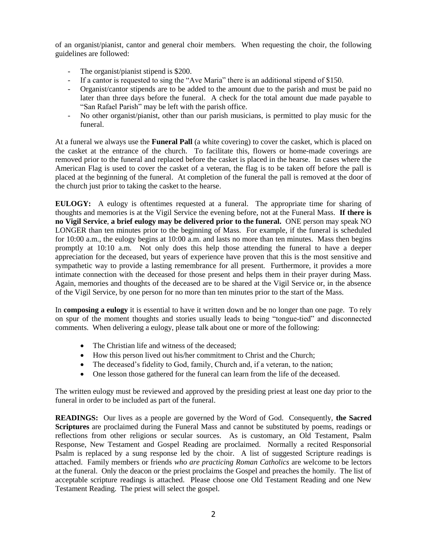of an organist/pianist, cantor and general choir members. When requesting the choir, the following guidelines are followed:

- The organist/pianist stipend is \$200.
- If a cantor is requested to sing the "Ave Maria" there is an additional stipend of \$150.
- Organist/cantor stipends are to be added to the amount due to the parish and must be paid no later than three days before the funeral. A check for the total amount due made payable to "San Rafael Parish" may be left with the parish office.
- No other organist/pianist, other than our parish musicians, is permitted to play music for the funeral.

At a funeral we always use the **Funeral Pall** (a white covering) to cover the casket, which is placed on the casket at the entrance of the church. To facilitate this, flowers or home-made coverings are removed prior to the funeral and replaced before the casket is placed in the hearse. In cases where the American Flag is used to cover the casket of a veteran, the flag is to be taken off before the pall is placed at the beginning of the funeral. At completion of the funeral the pall is removed at the door of the church just prior to taking the casket to the hearse.

**EULOGY:** A eulogy is oftentimes requested at a funeral. The appropriate time for sharing of thoughts and memories is at the Vigil Service the evening before, not at the Funeral Mass. **If there is no Vigil Service**, **a brief eulogy may be delivered prior to the funeral.** ONE person may speak NO LONGER than ten minutes prior to the beginning of Mass. For example, if the funeral is scheduled for 10:00 a.m., the eulogy begins at 10:00 a.m. and lasts no more than ten minutes. Mass then begins promptly at 10:10 a.m. Not only does this help those attending the funeral to have a deeper appreciation for the deceased, but years of experience have proven that this is the most sensitive and sympathetic way to provide a lasting remembrance for all present. Furthermore, it provides a more intimate connection with the deceased for those present and helps them in their prayer during Mass. Again, memories and thoughts of the deceased are to be shared at the Vigil Service or, in the absence of the Vigil Service, by one person for no more than ten minutes prior to the start of the Mass.

In **composing a eulogy** it is essential to have it written down and be no longer than one page. To rely on spur of the moment thoughts and stories usually leads to being "tongue-tied" and disconnected comments. When delivering a eulogy, please talk about one or more of the following:

- The Christian life and witness of the deceased;
- How this person lived out his/her commitment to Christ and the Church;
- The deceased's fidelity to God, family, Church and, if a veteran, to the nation;
- One lesson those gathered for the funeral can learn from the life of the deceased.

The written eulogy must be reviewed and approved by the presiding priest at least one day prior to the funeral in order to be included as part of the funeral.

**READINGS:** Our lives as a people are governed by the Word of God. Consequently, **the Sacred Scriptures** are proclaimed during the Funeral Mass and cannot be substituted by poems, readings or reflections from other religions or secular sources. As is customary, an Old Testament, Psalm Response, New Testament and Gospel Reading are proclaimed. Normally a recited Responsorial Psalm is replaced by a sung response led by the choir. A list of suggested Scripture readings is attached. Family members or friends *who are practicing Roman Catholics* are welcome to be lectors at the funeral. Only the deacon or the priest proclaims the Gospel and preaches the homily. The list of acceptable scripture readings is attached. Please choose one Old Testament Reading and one New Testament Reading. The priest will select the gospel.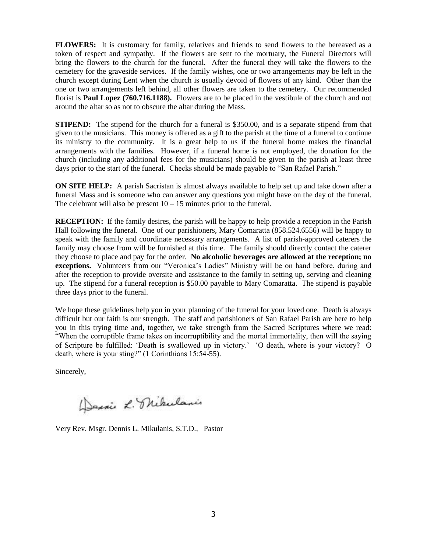**FLOWERS:** It is customary for family, relatives and friends to send flowers to the bereaved as a token of respect and sympathy. If the flowers are sent to the mortuary, the Funeral Directors will bring the flowers to the church for the funeral. After the funeral they will take the flowers to the cemetery for the graveside services. If the family wishes, one or two arrangements may be left in the church except during Lent when the church is usually devoid of flowers of any kind. Other than the one or two arrangements left behind, all other flowers are taken to the cemetery. Our recommended florist is **Paul Lopez (760.716.1188).** Flowers are to be placed in the vestibule of the church and not around the altar so as not to obscure the altar during the Mass.

**STIPEND:** The stipend for the church for a funeral is \$350.00, and is a separate stipend from that given to the musicians. This money is offered as a gift to the parish at the time of a funeral to continue its ministry to the community. It is a great help to us if the funeral home makes the financial arrangements with the families. However, if a funeral home is not employed, the donation for the church (including any additional fees for the musicians) should be given to the parish at least three days prior to the start of the funeral. Checks should be made payable to "San Rafael Parish."

**ON SITE HELP:** A parish Sacristan is almost always available to help set up and take down after a funeral Mass and is someone who can answer any questions you might have on the day of the funeral. The celebrant will also be present  $10 - 15$  minutes prior to the funeral.

**RECEPTION:** If the family desires, the parish will be happy to help provide a reception in the Parish Hall following the funeral. One of our parishioners, Mary Comaratta (858.524.6556) will be happy to speak with the family and coordinate necessary arrangements. A list of parish-approved caterers the family may choose from will be furnished at this time. The family should directly contact the caterer they choose to place and pay for the order. **No alcoholic beverages are allowed at the reception; no exceptions.** Volunteers from our "Veronica's Ladies" Ministry will be on hand before, during and after the reception to provide oversite and assistance to the family in setting up, serving and cleaning up.The stipend for a funeral reception is \$50.00 payable to Mary Comaratta. The stipend is payable three days prior to the funeral.

We hope these guidelines help you in your planning of the funeral for your loved one. Death is always difficult but our faith is our strength. The staff and parishioners of San Rafael Parish are here to help you in this trying time and, together, we take strength from the Sacred Scriptures where we read: "When the corruptible frame takes on incorruptibility and the mortal immortality, then will the saying of Scripture be fulfilled: 'Death is swallowed up in victory.' 'O death, where is your victory? O death, where is your sting?" (1 Corinthians 15:54-55).

Sincerely,

Derais L. Mikelanis

Very Rev. Msgr. Dennis L. Mikulanis, S.T.D., Pastor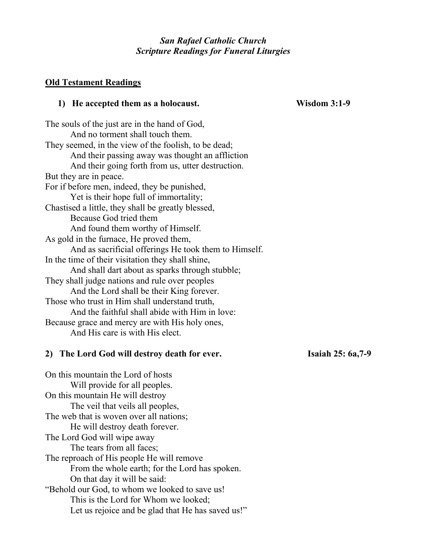## *San Rafael Catholic Church Scripture Readings for Funeral Liturgies*

## **Old Testament Readings**

## **1) He accepted them as a holocaust. Wisdom 3:1-9**

The souls of the just are in the hand of God, And no torment shall touch them. They seemed, in the view of the foolish, to be dead; And their passing away was thought an affliction And their going forth from us, utter destruction. But they are in peace. For if before men, indeed, they be punished, Yet is their hope full of immortality; Chastised a little, they shall be greatly blessed, Because God tried them And found them worthy of Himself. As gold in the furnace, He proved them, And as sacrificial offerings He took them to Himself. In the time of their visitation they shall shine, And shall dart about as sparks through stubble; They shall judge nations and rule over peoples And the Lord shall be their King forever. Those who trust in Him shall understand truth, And the faithful shall abide with Him in love: Because grace and mercy are with His holy ones, And His care is with His elect.

## **2) The Lord God will destroy death for ever. Isaiah 25: 6a,7-9**

On this mountain the Lord of hosts Will provide for all peoples. On this mountain He will destroy The veil that veils all peoples, The web that is woven over all nations; He will destroy death forever. The Lord God will wipe away The tears from all faces; The reproach of His people He will remove From the whole earth; for the Lord has spoken. On that day it will be said: "Behold our God, to whom we looked to save us! This is the Lord for Whom we looked; Let us rejoice and be glad that He has saved us!"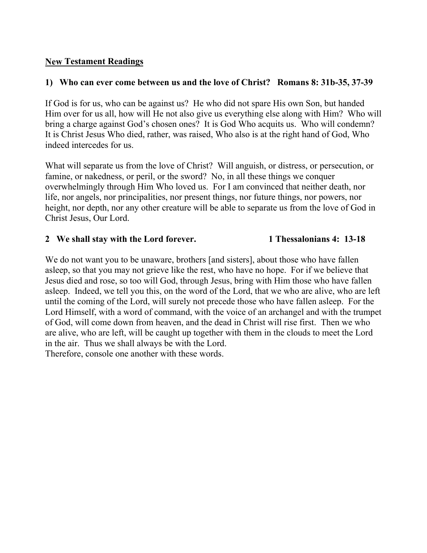## **New Testament Readings**

## **1) Who can ever come between us and the love of Christ? Romans 8: 31b-35, 37-39**

If God is for us, who can be against us? He who did not spare His own Son, but handed Him over for us all, how will He not also give us everything else along with Him? Who will bring a charge against God's chosen ones? It is God Who acquits us. Who will condemn? It is Christ Jesus Who died, rather, was raised, Who also is at the right hand of God, Who indeed intercedes for us.

What will separate us from the love of Christ? Will anguish, or distress, or persecution, or famine, or nakedness, or peril, or the sword? No, in all these things we conquer overwhelmingly through Him Who loved us. For I am convinced that neither death, nor life, nor angels, nor principalities, nor present things, nor future things, nor powers, nor height, nor depth, nor any other creature will be able to separate us from the love of God in Christ Jesus, Our Lord.

## **2 We shall stay with the Lord forever. 1 Thessalonians 4: 13-18**

We do not want you to be unaware, brothers [and sisters], about those who have fallen asleep, so that you may not grieve like the rest, who have no hope. For if we believe that Jesus died and rose, so too will God, through Jesus, bring with Him those who have fallen asleep. Indeed, we tell you this, on the word of the Lord, that we who are alive, who are left until the coming of the Lord, will surely not precede those who have fallen asleep. For the Lord Himself, with a word of command, with the voice of an archangel and with the trumpet of God, will come down from heaven, and the dead in Christ will rise first. Then we who are alive, who are left, will be caught up together with them in the clouds to meet the Lord in the air. Thus we shall always be with the Lord. Therefore, console one another with these words.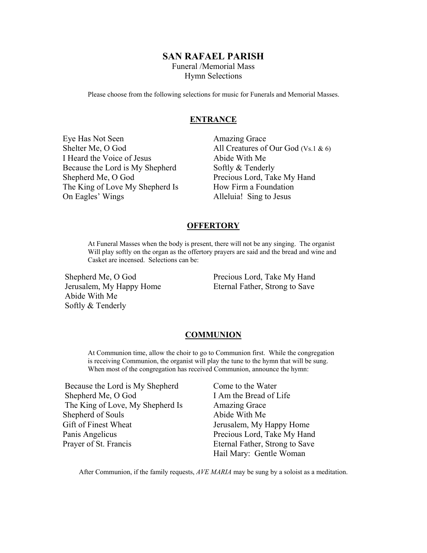## **SAN RAFAEL PARISH**

Funeral /Memorial Mass Hymn Selections

Please choose from the following selections for music for Funerals and Memorial Masses.

#### **ENTRANCE**

Eye Has Not Seen **Amazing Grace** I Heard the Voice of Jesus Abide With Me Because the Lord is My Shepherd Softly & Tenderly Shepherd Me, O God Precious Lord, Take My Hand The King of Love My Shepherd Is How Firm a Foundation On Eagles' Wings Alleluia! Sing to Jesus

Shelter Me, O God All Creatures of Our God (Vs.1 & 6)

#### **OFFERTORY**

At Funeral Masses when the body is present, there will not be any singing. The organist Will play softly on the organ as the offertory prayers are said and the bread and wine and Casket are incensed. Selections can be:

Shepherd Me, O God Precious Lord, Take My Hand Abide With Me Softly & Tenderly

Jerusalem, My Happy Home Eternal Father, Strong to Save

#### **COMMUNION**

At Communion time, allow the choir to go to Communion first. While the congregation is receiving Communion, the organist will play the tune to the hymn that will be sung. When most of the congregation has received Communion, announce the hymn:

Because the Lord is My Shepherd Come to the Water Shepherd Me, O God I Am the Bread of Life The King of Love, My Shepherd Is Amazing Grace Shepherd of Souls Abide With Me Gift of Finest Wheat Jerusalem, My Happy Home Panis Angelicus Precious Lord, Take My Hand Prayer of St. Francis Eternal Father, Strong to Save

Hail Mary: Gentle Woman

After Communion, if the family requests, *AVE MARIA* may be sung by a soloist as a meditation.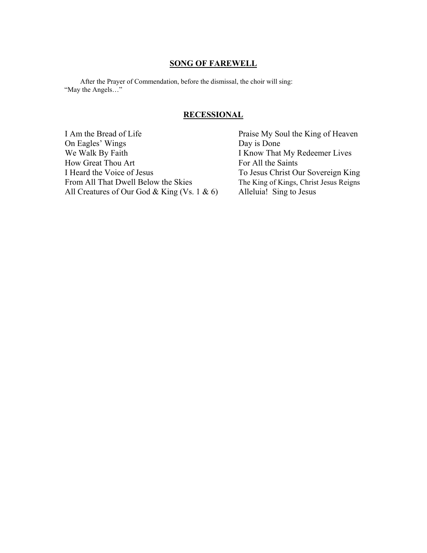### **SONG OF FAREWELL**

 After the Prayer of Commendation, before the dismissal, the choir will sing: "May the Angels…"

#### **RECESSIONAL**

I Am the Bread of Life Praise My Soul the King of Heaven<br>On Eagles' Wings Day is Done On Eagles' Wings<br>We Walk By Faith How Great Thou Art For All the Saints I Heard the Voice of Jesus To Jesus Christ Our Sovereign King From All That Dwell Below the Skies The King of Kings, Christ Jesus Reigns<br>All Creatures of Our God & King (Vs. 1 & 6) Alleluia! Sing to Jesus All Creatures of Our God & King (Vs. 1 & 6)

I Know That My Redeemer Lives